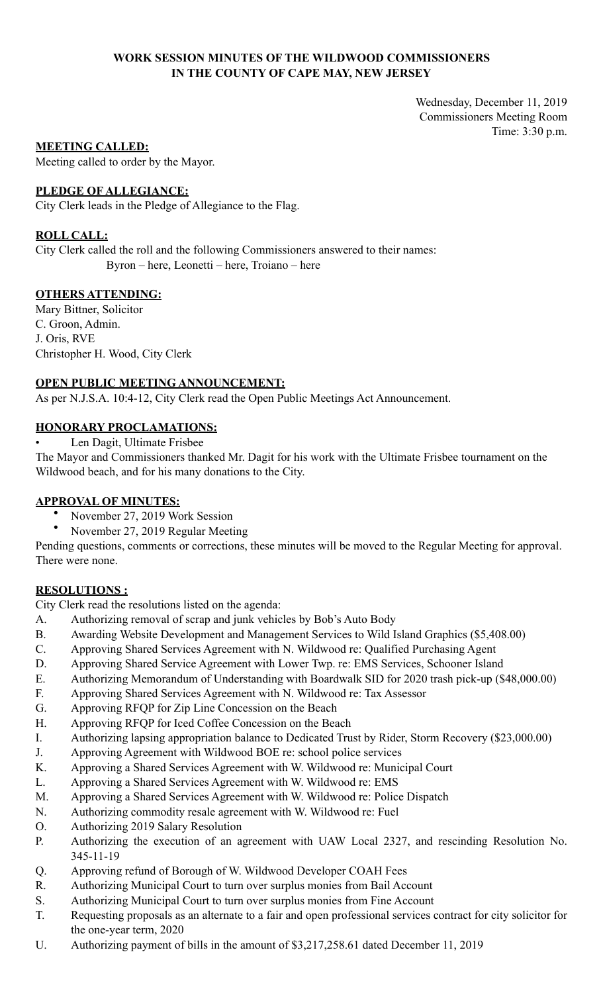# **WORK SESSION MINUTES OF THE WILDWOOD COMMISSIONERS IN THE COUNTY OF CAPE MAY, NEW JERSEY**

Wednesday, December 11, 2019 Commissioners Meeting Room Time: 3:30 p.m.

# **MEETING CALLED:**

Meeting called to order by the Mayor.

# **PLEDGE OF ALLEGIANCE:**

City Clerk leads in the Pledge of Allegiance to the Flag.

# **ROLL CALL:**

City Clerk called the roll and the following Commissioners answered to their names: Byron – here, Leonetti – here, Troiano – here

# **OTHERS ATTENDING:**

Mary Bittner, Solicitor C. Groon, Admin. J. Oris, RVE Christopher H. Wood, City Clerk

# **OPEN PUBLIC MEETING ANNOUNCEMENT:**

As per N.J.S.A. 10:4-12, City Clerk read the Open Public Meetings Act Announcement.

# **HONORARY PROCLAMATIONS:**

• Len Dagit, Ultimate Frisbee

The Mayor and Commissioners thanked Mr. Dagit for his work with the Ultimate Frisbee tournament on the Wildwood beach, and for his many donations to the City.

# **APPROVAL OF MINUTES:**

- November 27, 2019 Work Session
- November 27, 2019 Regular Meeting

Pending questions, comments or corrections, these minutes will be moved to the Regular Meeting for approval. There were none.

# **RESOLUTIONS :**

City Clerk read the resolutions listed on the agenda:

- A. Authorizing removal of scrap and junk vehicles by Bob's Auto Body
- B. Awarding Website Development and Management Services to Wild Island Graphics (\$5,408.00)
- C. Approving Shared Services Agreement with N. Wildwood re: Qualified Purchasing Agent
- D. Approving Shared Service Agreement with Lower Twp. re: EMS Services, Schooner Island
- E. Authorizing Memorandum of Understanding with Boardwalk SID for 2020 trash pick-up (\$48,000.00)
- F. Approving Shared Services Agreement with N. Wildwood re: Tax Assessor
- G. Approving RFQP for Zip Line Concession on the Beach
- H. Approving RFQP for Iced Coffee Concession on the Beach
- I. Authorizing lapsing appropriation balance to Dedicated Trust by Rider, Storm Recovery (\$23,000.00)
- J. Approving Agreement with Wildwood BOE re: school police services
- K. Approving a Shared Services Agreement with W. Wildwood re: Municipal Court
- L. Approving a Shared Services Agreement with W. Wildwood re: EMS
- M. Approving a Shared Services Agreement with W. Wildwood re: Police Dispatch
- N. Authorizing commodity resale agreement with W. Wildwood re: Fuel
- O. Authorizing 2019 Salary Resolution
- P. Authorizing the execution of an agreement with UAW Local 2327, and rescinding Resolution No. 345-11-19
- Q. Approving refund of Borough of W. Wildwood Developer COAH Fees
- R. Authorizing Municipal Court to turn over surplus monies from Bail Account
- S. Authorizing Municipal Court to turn over surplus monies from Fine Account
- T. Requesting proposals as an alternate to a fair and open professional services contract for city solicitor for the one-year term, 2020
- U. Authorizing payment of bills in the amount of \$3,217,258.61 dated December 11, 2019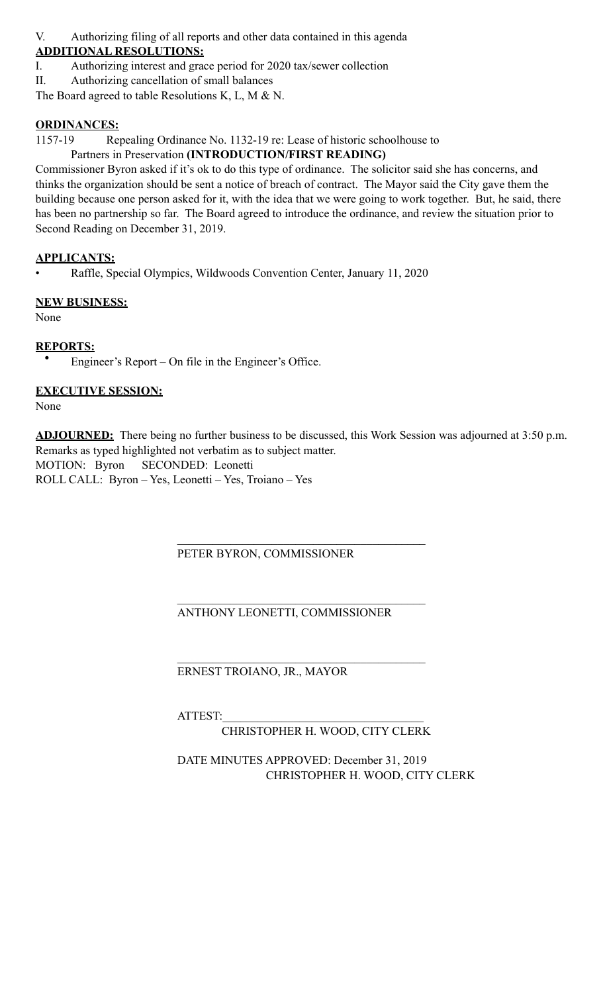V. Authorizing filing of all reports and other data contained in this agenda

# **ADDITIONAL RESOLUTIONS:**

I. Authorizing interest and grace period for 2020 tax/sewer collection

II. Authorizing cancellation of small balances

The Board agreed to table Resolutions K, L, M & N.

# **ORDINANCES:**

1157-19 Repealing Ordinance No. 1132-19 re: Lease of historic schoolhouse to

# Partners in Preservation **(INTRODUCTION/FIRST READING)**

Commissioner Byron asked if it's ok to do this type of ordinance. The solicitor said she has concerns, and thinks the organization should be sent a notice of breach of contract. The Mayor said the City gave them the building because one person asked for it, with the idea that we were going to work together. But, he said, there has been no partnership so far. The Board agreed to introduce the ordinance, and review the situation prior to Second Reading on December 31, 2019.

# **APPLICANTS:**

• Raffle, Special Olympics, Wildwoods Convention Center, January 11, 2020

# **NEW BUSINESS:**

None

# **REPORTS:**

• Engineer's Report – On file in the Engineer's Office.

# **EXECUTIVE SESSION:**

None

**ADJOURNED:** There being no further business to be discussed, this Work Session was adjourned at 3:50 p.m. Remarks as typed highlighted not verbatim as to subject matter. MOTION: Byron SECONDED: Leonetti ROLL CALL: Byron – Yes, Leonetti – Yes, Troiano – Yes

# $\mathcal{L}_\mathcal{L} = \mathcal{L}_\mathcal{L} = \mathcal{L}_\mathcal{L} = \mathcal{L}_\mathcal{L} = \mathcal{L}_\mathcal{L} = \mathcal{L}_\mathcal{L} = \mathcal{L}_\mathcal{L} = \mathcal{L}_\mathcal{L} = \mathcal{L}_\mathcal{L} = \mathcal{L}_\mathcal{L} = \mathcal{L}_\mathcal{L} = \mathcal{L}_\mathcal{L} = \mathcal{L}_\mathcal{L} = \mathcal{L}_\mathcal{L} = \mathcal{L}_\mathcal{L} = \mathcal{L}_\mathcal{L} = \mathcal{L}_\mathcal{L}$ PETER BYRON, COMMISSIONER

#### $\mathcal{L}_\mathcal{L} = \mathcal{L}_\mathcal{L} = \mathcal{L}_\mathcal{L} = \mathcal{L}_\mathcal{L} = \mathcal{L}_\mathcal{L} = \mathcal{L}_\mathcal{L} = \mathcal{L}_\mathcal{L} = \mathcal{L}_\mathcal{L} = \mathcal{L}_\mathcal{L} = \mathcal{L}_\mathcal{L} = \mathcal{L}_\mathcal{L} = \mathcal{L}_\mathcal{L} = \mathcal{L}_\mathcal{L} = \mathcal{L}_\mathcal{L} = \mathcal{L}_\mathcal{L} = \mathcal{L}_\mathcal{L} = \mathcal{L}_\mathcal{L}$ ANTHONY LEONETTI, COMMISSIONER

# $\mathcal{L}_\mathcal{L} = \mathcal{L}_\mathcal{L} = \mathcal{L}_\mathcal{L} = \mathcal{L}_\mathcal{L} = \mathcal{L}_\mathcal{L} = \mathcal{L}_\mathcal{L} = \mathcal{L}_\mathcal{L} = \mathcal{L}_\mathcal{L} = \mathcal{L}_\mathcal{L} = \mathcal{L}_\mathcal{L} = \mathcal{L}_\mathcal{L} = \mathcal{L}_\mathcal{L} = \mathcal{L}_\mathcal{L} = \mathcal{L}_\mathcal{L} = \mathcal{L}_\mathcal{L} = \mathcal{L}_\mathcal{L} = \mathcal{L}_\mathcal{L}$ ERNEST TROIANO, JR., MAYOR

ATTEST:

CHRISTOPHER H. WOOD, CITY CLERK

 DATE MINUTES APPROVED: December 31, 2019 CHRISTOPHER H. WOOD, CITY CLERK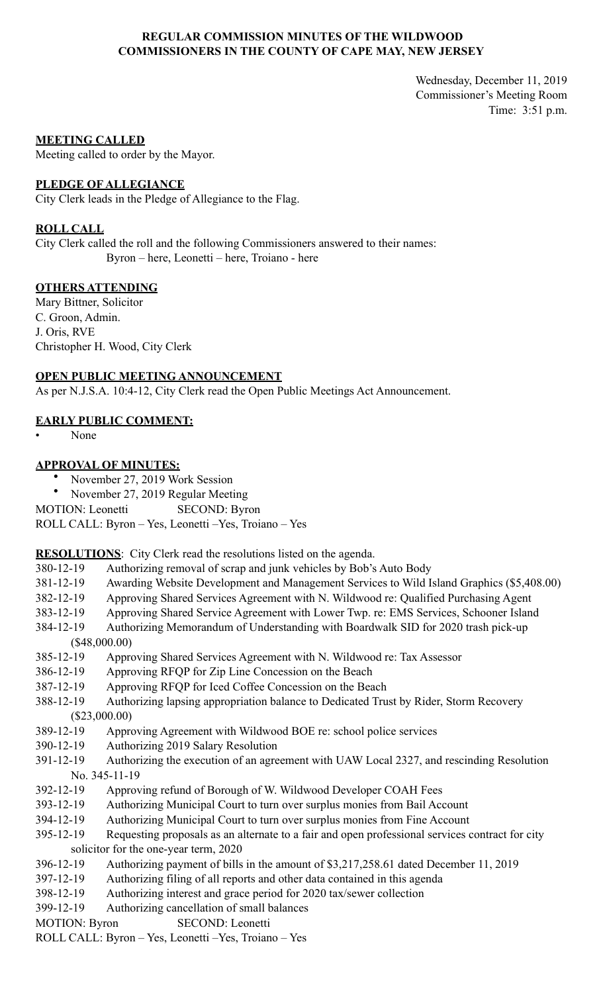# **REGULAR COMMISSION MINUTES OF THE WILDWOOD COMMISSIONERS IN THE COUNTY OF CAPE MAY, NEW JERSEY**

Wednesday, December 11, 2019 Commissioner's Meeting Room Time: 3:51 p.m.

#### **MEETING CALLED**

Meeting called to order by the Mayor.

#### **PLEDGE OF ALLEGIANCE**

City Clerk leads in the Pledge of Allegiance to the Flag.

#### **ROLL CALL**

City Clerk called the roll and the following Commissioners answered to their names: Byron – here, Leonetti – here, Troiano - here

# **OTHERS ATTENDING**

Mary Bittner, Solicitor C. Groon, Admin. J. Oris, RVE Christopher H. Wood, City Clerk

# **OPEN PUBLIC MEETING ANNOUNCEMENT**

As per N.J.S.A. 10:4-12, City Clerk read the Open Public Meetings Act Announcement.

# **EARLY PUBLIC COMMENT:**

• None

# **APPROVAL OF MINUTES:**

- November 27, 2019 Work Session
- November 27, 2019 Regular Meeting

MOTION: Leonetti SECOND: Byron

ROLL CALL: Byron – Yes, Leonetti –Yes, Troiano – Yes

**RESOLUTIONS**: City Clerk read the resolutions listed on the agenda.

- 380-12-19 Authorizing removal of scrap and junk vehicles by Bob's Auto Body
- 381-12-19 Awarding Website Development and Management Services to Wild Island Graphics (\$5,408.00)
- 382-12-19 Approving Shared Services Agreement with N. Wildwood re: Qualified Purchasing Agent
- 383-12-19 Approving Shared Service Agreement with Lower Twp. re: EMS Services, Schooner Island
- 384-12-19 Authorizing Memorandum of Understanding with Boardwalk SID for 2020 trash pick-up (\$48,000.00)
- 385-12-19 Approving Shared Services Agreement with N. Wildwood re: Tax Assessor
- 386-12-19 Approving RFQP for Zip Line Concession on the Beach
- 387-12-19 Approving RFQP for Iced Coffee Concession on the Beach
- 388-12-19 Authorizing lapsing appropriation balance to Dedicated Trust by Rider, Storm Recovery (\$23,000.00)
- 389-12-19 Approving Agreement with Wildwood BOE re: school police services
- 390-12-19 Authorizing 2019 Salary Resolution
- 391-12-19 Authorizing the execution of an agreement with UAW Local 2327, and rescinding Resolution No. 345-11-19
- 392-12-19 Approving refund of Borough of W. Wildwood Developer COAH Fees
- 393-12-19 Authorizing Municipal Court to turn over surplus monies from Bail Account
- 394-12-19 Authorizing Municipal Court to turn over surplus monies from Fine Account
- 395-12-19 Requesting proposals as an alternate to a fair and open professional services contract for city solicitor for the one-year term, 2020
- 396-12-19 Authorizing payment of bills in the amount of \$3,217,258.61 dated December 11, 2019
- 397-12-19 Authorizing filing of all reports and other data contained in this agenda
- 398-12-19 Authorizing interest and grace period for 2020 tax/sewer collection
- 399-12-19 Authorizing cancellation of small balances
- MOTION: Byron SECOND: Leonetti
- ROLL CALL: Byron Yes, Leonetti –Yes, Troiano Yes